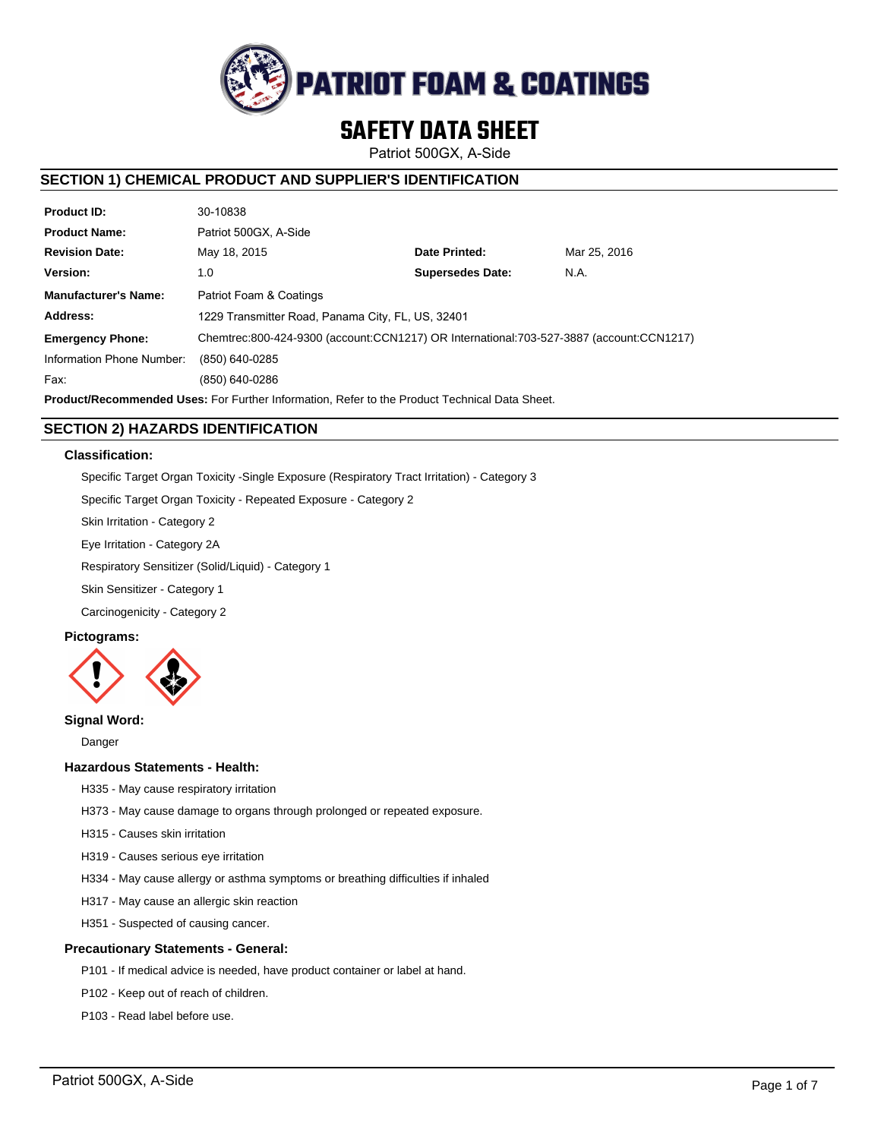

# **SAFETY DATA SHEET**

Patriot 500GX, A-Side

# **SECTION 1) CHEMICAL PRODUCT AND SUPPLIER'S IDENTIFICATION**

| <b>Product ID:</b>                                                                                   | 30-10838                                                                                |                         |              |  |  |
|------------------------------------------------------------------------------------------------------|-----------------------------------------------------------------------------------------|-------------------------|--------------|--|--|
| <b>Product Name:</b>                                                                                 | Patriot 500GX, A-Side                                                                   |                         |              |  |  |
| <b>Revision Date:</b>                                                                                | May 18, 2015                                                                            | Date Printed:           | Mar 25, 2016 |  |  |
| Version:                                                                                             | 1.0                                                                                     | <b>Supersedes Date:</b> | N.A.         |  |  |
| <b>Manufacturer's Name:</b>                                                                          | Patriot Foam & Coatings                                                                 |                         |              |  |  |
| Address:                                                                                             | 1229 Transmitter Road, Panama City, FL, US, 32401                                       |                         |              |  |  |
| <b>Emergency Phone:</b>                                                                              | Chemtrec:800-424-9300 (account:CCN1217) OR International:703-527-3887 (account:CCN1217) |                         |              |  |  |
| Information Phone Number:                                                                            | (850) 640-0285                                                                          |                         |              |  |  |
| Fax:                                                                                                 | (850) 640-0286                                                                          |                         |              |  |  |
| <b>Product/Recommended Uses:</b> For Further Information. Refer to the Product Technical Data Sheet. |                                                                                         |                         |              |  |  |

# **SECTION 2) HAZARDS IDENTIFICATION**

# **Classification:**

Specific Target Organ Toxicity -Single Exposure (Respiratory Tract Irritation) - Category 3

Specific Target Organ Toxicity - Repeated Exposure - Category 2

Skin Irritation - Category 2

Eye Irritation - Category 2A

Respiratory Sensitizer (Solid/Liquid) - Category 1

Skin Sensitizer - Category 1

Carcinogenicity - Category 2

# **Pictograms:**



# **Signal Word:**

Danger

# **Hazardous Statements - Health:**

- H335 May cause respiratory irritation
- H373 May cause damage to organs through prolonged or repeated exposure.
- H315 Causes skin irritation
- H319 Causes serious eye irritation
- H334 May cause allergy or asthma symptoms or breathing difficulties if inhaled
- H317 May cause an allergic skin reaction
- H351 Suspected of causing cancer.

# **Precautionary Statements - General:**

- P101 If medical advice is needed, have product container or label at hand.
- P102 Keep out of reach of children.
- P103 Read label before use.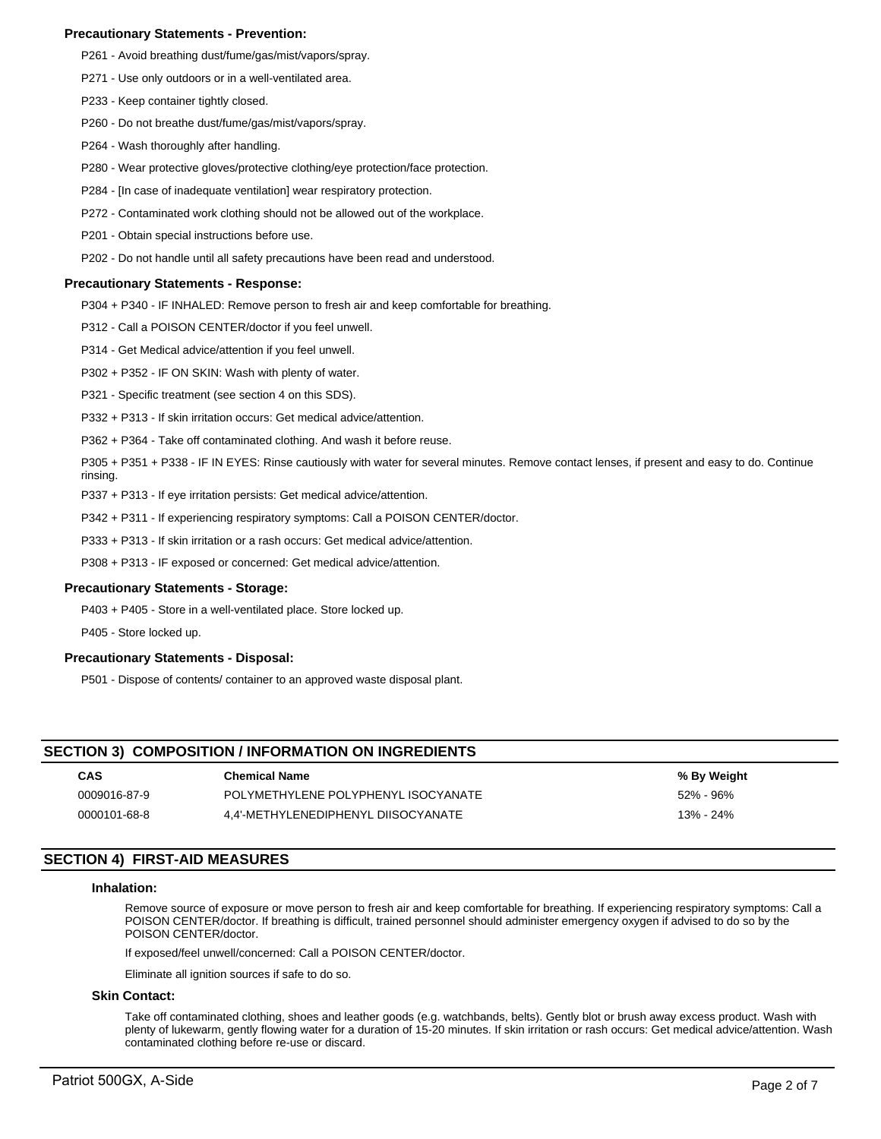# **Precautionary Statements - Prevention:**

- P261 Avoid breathing dust/fume/gas/mist/vapors/spray.
- P271 Use only outdoors or in a well-ventilated area.
- P233 Keep container tightly closed.
- P260 Do not breathe dust/fume/gas/mist/vapors/spray.
- P264 Wash thoroughly after handling.
- P280 Wear protective gloves/protective clothing/eye protection/face protection.
- P284 [In case of inadequate ventilation] wear respiratory protection.
- P272 Contaminated work clothing should not be allowed out of the workplace.
- P201 Obtain special instructions before use.
- P202 Do not handle until all safety precautions have been read and understood.

### **Precautionary Statements - Response:**

P304 + P340 - IF INHALED: Remove person to fresh air and keep comfortable for breathing.

P312 - Call a POISON CENTER/doctor if you feel unwell.

- P314 Get Medical advice/attention if you feel unwell.
- P302 + P352 IF ON SKIN: Wash with plenty of water.
- P321 Specific treatment (see section 4 on this SDS).
- P332 + P313 If skin irritation occurs: Get medical advice/attention.
- P362 + P364 Take off contaminated clothing. And wash it before reuse.
- P305 + P351 + P338 IF IN EYES: Rinse cautiously with water for several minutes. Remove contact lenses, if present and easy to do. Continue rinsing.
- P337 + P313 If eye irritation persists: Get medical advice/attention.
- P342 + P311 If experiencing respiratory symptoms: Call a POISON CENTER/doctor.
- P333 + P313 If skin irritation or a rash occurs: Get medical advice/attention.
- P308 + P313 IF exposed or concerned: Get medical advice/attention.

# **Precautionary Statements - Storage:**

P403 + P405 - Store in a well-ventilated place. Store locked up.

P405 - Store locked up.

# **Precautionary Statements - Disposal:**

P501 - Dispose of contents/ container to an approved waste disposal plant.

# **SECTION 3) COMPOSITION / INFORMATION ON INGREDIENTS**

| CAS          | <b>Chemical Name</b>                | % By Weight |
|--------------|-------------------------------------|-------------|
| 0009016-87-9 | POLYMETHYLENE POLYPHENYL ISOCYANATE | 52% - 96%   |
| 0000101-68-8 | 4.4'-METHYLENEDIPHENYL DIISOCYANATE | 13% - 24%   |

# **SECTION 4) FIRST-AID MEASURES**

### **Inhalation:**

Remove source of exposure or move person to fresh air and keep comfortable for breathing. If experiencing respiratory symptoms: Call a POISON CENTER/doctor. If breathing is difficult, trained personnel should administer emergency oxygen if advised to do so by the POISON CENTER/doctor.

If exposed/feel unwell/concerned: Call a POISON CENTER/doctor.

Eliminate all ignition sources if safe to do so.

#### **Skin Contact:**

Take off contaminated clothing, shoes and leather goods (e.g. watchbands, belts). Gently blot or brush away excess product. Wash with plenty of lukewarm, gently flowing water for a duration of 15-20 minutes. If skin irritation or rash occurs: Get medical advice/attention. Wash contaminated clothing before re-use or discard.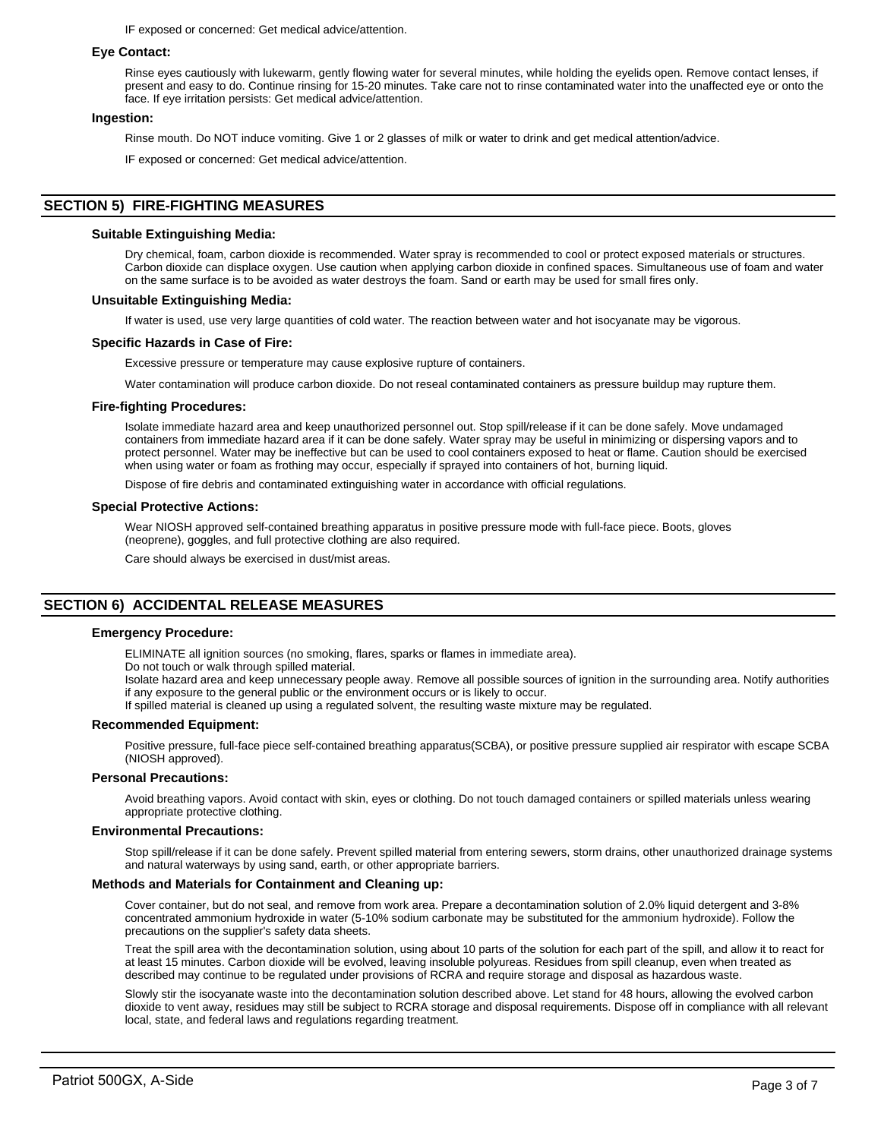IF exposed or concerned: Get medical advice/attention.

### **Eye Contact:**

Rinse eyes cautiously with lukewarm, gently flowing water for several minutes, while holding the eyelids open. Remove contact lenses, if present and easy to do. Continue rinsing for 15-20 minutes. Take care not to rinse contaminated water into the unaffected eye or onto the face. If eye irritation persists: Get medical advice/attention.

### **Ingestion:**

Rinse mouth. Do NOT induce vomiting. Give 1 or 2 glasses of milk or water to drink and get medical attention/advice.

IF exposed or concerned: Get medical advice/attention.

# **SECTION 5) FIRE-FIGHTING MEASURES**

### **Suitable Extinguishing Media:**

Dry chemical, foam, carbon dioxide is recommended. Water spray is recommended to cool or protect exposed materials or structures. Carbon dioxide can displace oxygen. Use caution when applying carbon dioxide in confined spaces. Simultaneous use of foam and water on the same surface is to be avoided as water destroys the foam. Sand or earth may be used for small fires only.

### **Unsuitable Extinguishing Media:**

If water is used, use very large quantities of cold water. The reaction between water and hot isocyanate may be vigorous.

# **Specific Hazards in Case of Fire:**

Excessive pressure or temperature may cause explosive rupture of containers.

Water contamination will produce carbon dioxide. Do not reseal contaminated containers as pressure buildup may rupture them.

### **Fire-fighting Procedures:**

Isolate immediate hazard area and keep unauthorized personnel out. Stop spill/release if it can be done safely. Move undamaged containers from immediate hazard area if it can be done safely. Water spray may be useful in minimizing or dispersing vapors and to protect personnel. Water may be ineffective but can be used to cool containers exposed to heat or flame. Caution should be exercised when using water or foam as frothing may occur, especially if sprayed into containers of hot, burning liquid.

Dispose of fire debris and contaminated extinguishing water in accordance with official regulations.

### **Special Protective Actions:**

Wear NIOSH approved self-contained breathing apparatus in positive pressure mode with full-face piece. Boots, gloves (neoprene), goggles, and full protective clothing are also required.

Care should always be exercised in dust/mist areas.

# **SECTION 6) ACCIDENTAL RELEASE MEASURES**

# **Emergency Procedure:**

ELIMINATE all ignition sources (no smoking, flares, sparks or flames in immediate area).

Do not touch or walk through spilled material.

Isolate hazard area and keep unnecessary people away. Remove all possible sources of ignition in the surrounding area. Notify authorities if any exposure to the general public or the environment occurs or is likely to occur.

If spilled material is cleaned up using a regulated solvent, the resulting waste mixture may be regulated.

### **Recommended Equipment:**

Positive pressure, full-face piece self-contained breathing apparatus(SCBA), or positive pressure supplied air respirator with escape SCBA (NIOSH approved).

### **Personal Precautions:**

Avoid breathing vapors. Avoid contact with skin, eyes or clothing. Do not touch damaged containers or spilled materials unless wearing appropriate protective clothing.

### **Environmental Precautions:**

Stop spill/release if it can be done safely. Prevent spilled material from entering sewers, storm drains, other unauthorized drainage systems and natural waterways by using sand, earth, or other appropriate barriers.

# **Methods and Materials for Containment and Cleaning up:**

Cover container, but do not seal, and remove from work area. Prepare a decontamination solution of 2.0% liquid detergent and 3-8% concentrated ammonium hydroxide in water (5-10% sodium carbonate may be substituted for the ammonium hydroxide). Follow the precautions on the supplier's safety data sheets.

Treat the spill area with the decontamination solution, using about 10 parts of the solution for each part of the spill, and allow it to react for at least 15 minutes. Carbon dioxide will be evolved, leaving insoluble polyureas. Residues from spill cleanup, even when treated as described may continue to be regulated under provisions of RCRA and require storage and disposal as hazardous waste.

Slowly stir the isocyanate waste into the decontamination solution described above. Let stand for 48 hours, allowing the evolved carbon dioxide to vent away, residues may still be subject to RCRA storage and disposal requirements. Dispose off in compliance with all relevant local, state, and federal laws and regulations regarding treatment.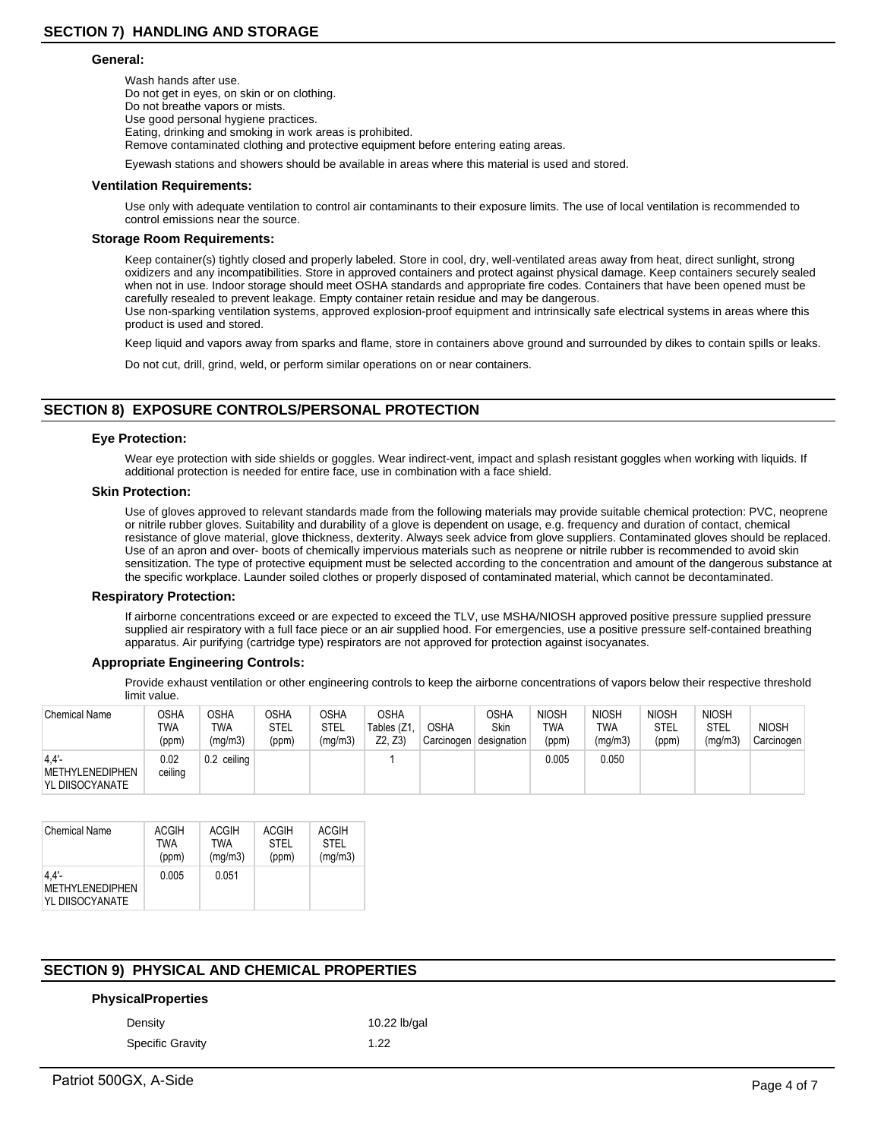### **General:**

Wash hands after use. Do not get in eyes, on skin or on clothing. Do not breathe vapors or mists. Use good personal hygiene practices. Eating, drinking and smoking in work areas is prohibited. Remove contaminated clothing and protective equipment before entering eating areas.

Eyewash stations and showers should be available in areas where this material is used and stored.

#### **Ventilation Requirements:**

Use only with adequate ventilation to control air contaminants to their exposure limits. The use of local ventilation is recommended to control emissions near the source.

### **Storage Room Requirements:**

Keep container(s) tightly closed and properly labeled. Store in cool, dry, well-ventilated areas away from heat, direct sunlight, strong oxidizers and any incompatibilities. Store in approved containers and protect against physical damage. Keep containers securely sealed when not in use. Indoor storage should meet OSHA standards and appropriate fire codes. Containers that have been opened must be carefully resealed to prevent leakage. Empty container retain residue and may be dangerous. Use non-sparking ventilation systems, approved explosion-proof equipment and intrinsically safe electrical systems in areas where this product is used and stored.

Keep liquid and vapors away from sparks and flame, store in containers above ground and surrounded by dikes to contain spills or leaks.

Do not cut, drill, grind, weld, or perform similar operations on or near containers.

# **SECTION 8) EXPOSURE CONTROLS/PERSONAL PROTECTION**

### **Eye Protection:**

Wear eye protection with side shields or goggles. Wear indirect-vent, impact and splash resistant goggles when working with liquids. If additional protection is needed for entire face, use in combination with a face shield.

#### **Skin Protection:**

Use of gloves approved to relevant standards made from the following materials may provide suitable chemical protection: PVC, neoprene or nitrile rubber gloves. Suitability and durability of a glove is dependent on usage, e.g. frequency and duration of contact, chemical resistance of glove material, glove thickness, dexterity. Always seek advice from glove suppliers. Contaminated gloves should be replaced. Use of an apron and over- boots of chemically impervious materials such as neoprene or nitrile rubber is recommended to avoid skin sensitization. The type of protective equipment must be selected according to the concentration and amount of the dangerous substance at the specific workplace. Launder soiled clothes or properly disposed of contaminated material, which cannot be decontaminated.

#### **Respiratory Protection:**

If airborne concentrations exceed or are expected to exceed the TLV, use MSHA/NIOSH approved positive pressure supplied pressure supplied air respiratory with a full face piece or an air supplied hood. For emergencies, use a positive pressure self-contained breathing apparatus. Air purifying (cartridge type) respirators are not approved for protection against isocyanates.

# **Appropriate Engineering Controls:**

Provide exhaust ventilation or other engineering controls to keep the airborne concentrations of vapors below their respective threshold limit value.

| <b>Chemical Name</b>                       | OSHA<br>TWA<br>(ppm) | OSHA<br>TWA<br>(mq/m3) | <b>OSHA</b><br>STEL<br>(ppm) | OSHA<br>STEL<br>(mg/m3) | <b>OSHA</b><br>Tables (Z1<br>Z2. Z3 | <b>OSHA</b><br>Carcinogen | <b>OSHA</b><br><b>Skin</b><br>designation | <b>NIOSH</b><br><b>TWA</b><br>(ppm) | <b>NIOSH</b><br><b>TWA</b><br>(mg/m3) | <b>NIOSH</b><br><b>STEL</b><br>(ppm) | <b>NIOSH</b><br>STEL<br>(mq/m3) | <b>NIOSH</b><br>Carcinogen |
|--------------------------------------------|----------------------|------------------------|------------------------------|-------------------------|-------------------------------------|---------------------------|-------------------------------------------|-------------------------------------|---------------------------------------|--------------------------------------|---------------------------------|----------------------------|
| 4.4'<br>METHYLENEDIPHEN<br>YL DIISOCYANATE | 0.02<br>ceiling      | 0.2 ceiling            |                              |                         |                                     |                           |                                           | 0.005                               | 0.050                                 |                                      |                                 |                            |

| <b>Chemical Name</b>                                  | <b>ACGIH</b> | ACGIH   | <b>ACGIH</b> | <b>ACGIH</b> |
|-------------------------------------------------------|--------------|---------|--------------|--------------|
|                                                       | <b>TWA</b>   | TWA     | STFI         | STFI         |
|                                                       | (ppm)        | (mg/m3) | (ppm)        | (mg/m3)      |
| $4.4'$ -<br><b>METHYLENEDIPHEN</b><br>YL DIISOCYANATE | 0.005        | 0.051   |              |              |

# **SECTION 9) PHYSICAL AND CHEMICAL PROPERTIES**

# **PhysicalProperties**

Specific Gravity 1.22

Density 10.22 lb/gal

Patriot 500GX, A-Side Page 4 of 7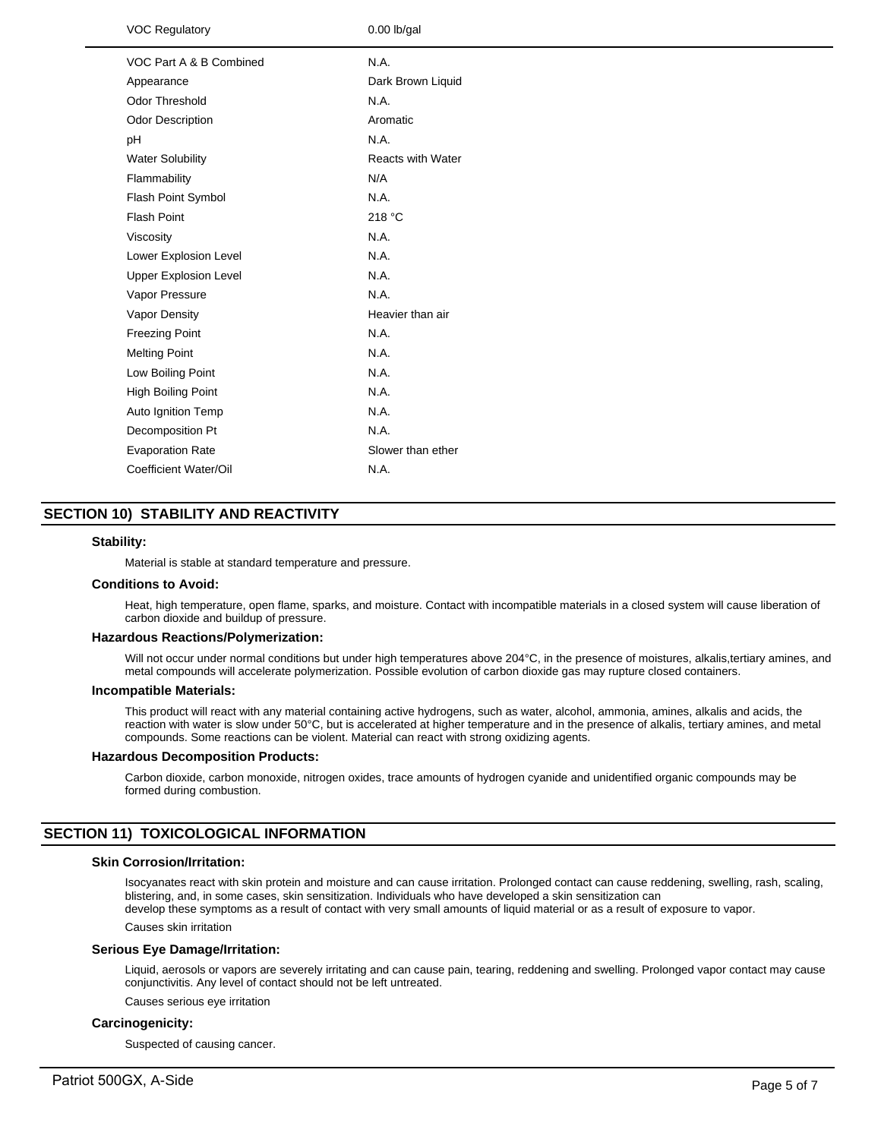| <b>VOC Regulatory</b>        | $0.00$ lb/gal            |
|------------------------------|--------------------------|
| VOC Part A & B Combined      | N.A.                     |
| Appearance                   | Dark Brown Liquid        |
| Odor Threshold               | N.A.                     |
| Odor Description             | Aromatic                 |
| рH                           | N.A.                     |
| <b>Water Solubility</b>      | <b>Reacts with Water</b> |
| Flammability                 | N/A                      |
| Flash Point Symbol           | N.A.                     |
| <b>Flash Point</b>           | 218 °C                   |
| Viscosity                    | N.A.                     |
| Lower Explosion Level        | N.A.                     |
| <b>Upper Explosion Level</b> | N.A.                     |
| Vapor Pressure               | N.A.                     |
| Vapor Density                | Heavier than air         |
| <b>Freezing Point</b>        | N.A.                     |
| <b>Melting Point</b>         | N.A.                     |
| Low Boiling Point            | N.A.                     |
| High Boiling Point           | N.A.                     |
| Auto Ignition Temp           | N.A.                     |
| Decomposition Pt             | N.A.                     |
| <b>Evaporation Rate</b>      | Slower than ether        |
| Coefficient Water/Oil        | N.A.                     |
|                              |                          |

# **SECTION 10) STABILITY AND REACTIVITY**

# **Stability:**

Material is stable at standard temperature and pressure.

### **Conditions to Avoid:**

Heat, high temperature, open flame, sparks, and moisture. Contact with incompatible materials in a closed system will cause liberation of carbon dioxide and buildup of pressure.

### **Hazardous Reactions/Polymerization:**

Will not occur under normal conditions but under high temperatures above 204°C, in the presence of moistures, alkalis,tertiary amines, and metal compounds will accelerate polymerization. Possible evolution of carbon dioxide gas may rupture closed containers.

#### **Incompatible Materials:**

This product will react with any material containing active hydrogens, such as water, alcohol, ammonia, amines, alkalis and acids, the reaction with water is slow under 50°C, but is accelerated at higher temperature and in the presence of alkalis, tertiary amines, and metal compounds. Some reactions can be violent. Material can react with strong oxidizing agents.

### **Hazardous Decomposition Products:**

Carbon dioxide, carbon monoxide, nitrogen oxides, trace amounts of hydrogen cyanide and unidentified organic compounds may be formed during combustion.

# **SECTION 11) TOXICOLOGICAL INFORMATION**

# **Skin Corrosion/Irritation:**

Isocyanates react with skin protein and moisture and can cause irritation. Prolonged contact can cause reddening, swelling, rash, scaling, blistering, and, in some cases, skin sensitization. Individuals who have developed a skin sensitization can develop these symptoms as a result of contact with very small amounts of liquid material or as a result of exposure to vapor.

Causes skin irritation

### **Serious Eye Damage/Irritation:**

Liquid, aerosols or vapors are severely irritating and can cause pain, tearing, reddening and swelling. Prolonged vapor contact may cause conjunctivitis. Any level of contact should not be left untreated.

Causes serious eye irritation

#### **Carcinogenicity:**

Suspected of causing cancer.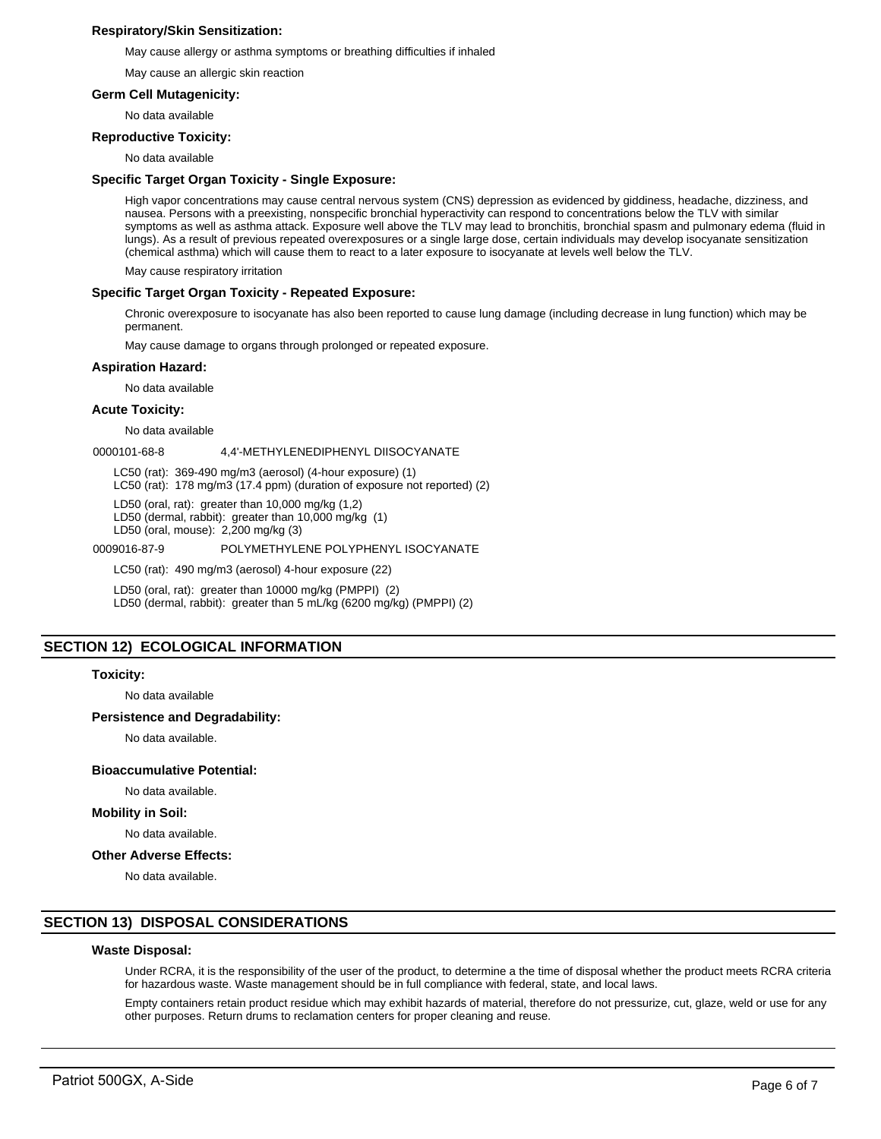# **Respiratory/Skin Sensitization:**

May cause allergy or asthma symptoms or breathing difficulties if inhaled

May cause an allergic skin reaction

## **Germ Cell Mutagenicity:**

No data available

### **Reproductive Toxicity:**

No data available

## **Specific Target Organ Toxicity - Single Exposure:**

High vapor concentrations may cause central nervous system (CNS) depression as evidenced by giddiness, headache, dizziness, and nausea. Persons with a preexisting, nonspecific bronchial hyperactivity can respond to concentrations below the TLV with similar symptoms as well as asthma attack. Exposure well above the TLV may lead to bronchitis, bronchial spasm and pulmonary edema (fluid in lungs). As a result of previous repeated overexposures or a single large dose, certain individuals may develop isocyanate sensitization (chemical asthma) which will cause them to react to a later exposure to isocyanate at levels well below the TLV.

May cause respiratory irritation

# **Specific Target Organ Toxicity - Repeated Exposure:**

Chronic overexposure to isocyanate has also been reported to cause lung damage (including decrease in lung function) which may be permanent.

May cause damage to organs through prolonged or repeated exposure.

### **Aspiration Hazard:**

No data available

# **Acute Toxicity:**

No data available

0000101-68-8 4,4'-METHYLENEDIPHENYL DIISOCYANATE

LC50 (rat): 369-490 mg/m3 (aerosol) (4-hour exposure) (1)

LC50 (rat): 178 mg/m3 (17.4 ppm) (duration of exposure not reported) (2)

LD50 (oral, rat): greater than 10,000 mg/kg (1,2)

LD50 (dermal, rabbit): greater than 10,000 mg/kg (1)

LD50 (oral, mouse): 2,200 mg/kg (3)

#### 0009016-87-9 POLYMETHYLENE POLYPHENYL ISOCYANATE

LC50 (rat): 490 mg/m3 (aerosol) 4-hour exposure (22)

LD50 (oral, rat): greater than 10000 mg/kg (PMPPI) (2)

LD50 (dermal, rabbit): greater than 5 mL/kg (6200 mg/kg) (PMPPI) (2)

# **SECTION 12) ECOLOGICAL INFORMATION**

#### **Toxicity:**

No data available

# **Persistence and Degradability:**

No data available.

### **Bioaccumulative Potential:**

No data available.

### **Mobility in Soil:**

No data available.

#### **Other Adverse Effects:**

No data available.

# **SECTION 13) DISPOSAL CONSIDERATIONS**

# **Waste Disposal:**

Under RCRA, it is the responsibility of the user of the product, to determine a the time of disposal whether the product meets RCRA criteria for hazardous waste. Waste management should be in full compliance with federal, state, and local laws.

Empty containers retain product residue which may exhibit hazards of material, therefore do not pressurize, cut, glaze, weld or use for any other purposes. Return drums to reclamation centers for proper cleaning and reuse.